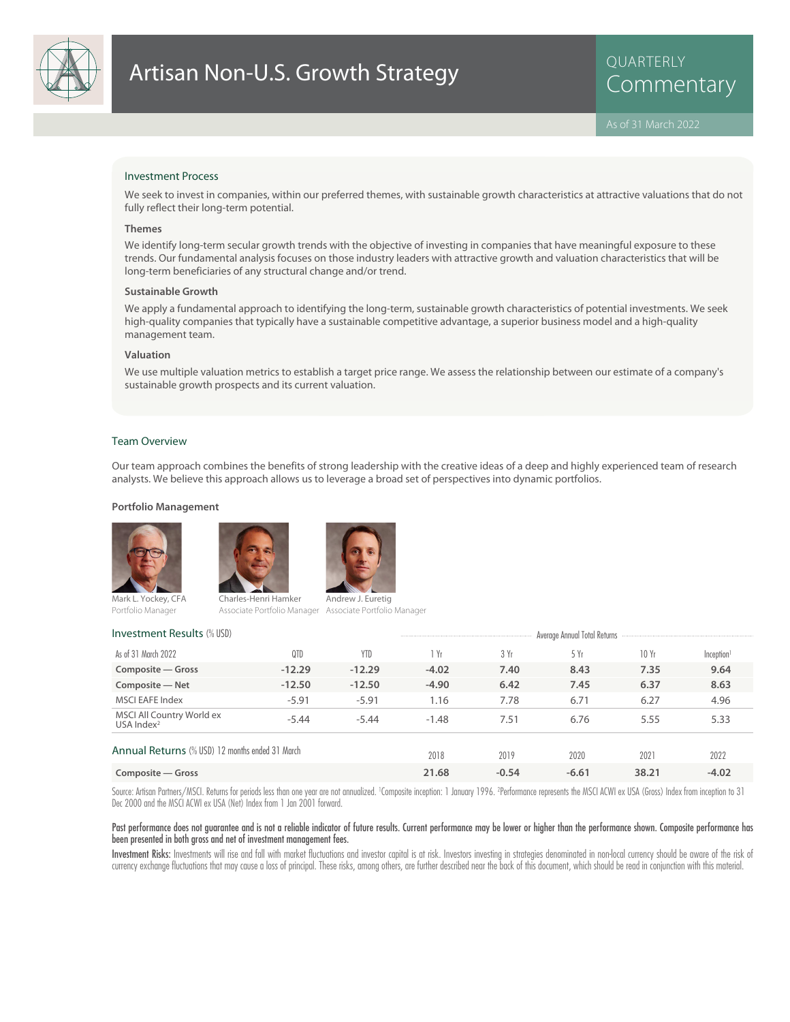

## Investment Process

We seek to invest in companies, within our preferred themes, with sustainable growth characteristics at attractive valuations that do not fully reflect their long-term potential.

### **Themes**

We identify long-term secular growth trends with the objective of investing in companies that have meaningful exposure to these trends. Our fundamental analysis focuses on those industry leaders with attractive growth and valuation characteristics that will be long-term beneficiaries of any structural change and/or trend.

#### **Sustainable Growth**

We apply a fundamental approach to identifying the long-term, sustainable growth characteristics of potential investments. We seek high-quality companies that typically have a sustainable competitive advantage, a superior business model and a high-quality management team.

### **Valuation**

We use multiple valuation metrics to establish a target price range. We assess the relationship between our estimate of a company's sustainable growth prospects and its current valuation.

### Team Overview

Our team approach combines the benefits of strong leadership with the creative ideas of a deep and highly experienced team of research analysts. We believe this approach allows us to leverage a broad set of perspectives into dynamic portfolios.

### **Portfolio Management**







Mark L. Yockey, CFA Portfolio Manager

Charles-Henri Hamker Associate Portfolio Manager Associate Portfolio Manager ndrew J. Euretig

# Investment Results (% USD) and the Contract Contract Average Annual Total Returns and Total Returns and Total Returns

| As of 31 March 2022                             | 0TD      | <b>YTD</b> | Yr      | 3 Yr  | 5 Yr    | 10 Yr | Inception <sup>1</sup> |
|-------------------------------------------------|----------|------------|---------|-------|---------|-------|------------------------|
| Composite - Gross                               | $-12.29$ | $-12.29$   | $-4.02$ | 7.40  | 8.43    | 7.35  | 9.64                   |
| Composite - Net                                 | $-12.50$ | $-12.50$   | $-4.90$ | 6.42  | 7.45    | 6.37  | 8.63                   |
| <b>MSCI EAFE Index</b>                          | $-5.91$  | $-5.91$    | 1.16    | 7.78  | 6.71    | 6.27  | 4.96                   |
| MSCI All Country World ex<br>USA Index $2$      | $-5.44$  | $-5.44$    | $-1.48$ | 7.51  | 6.76    | 5.55  | 5.33                   |
| Annual Returns (% USD) 12 months ended 31 March |          |            | 2018    | 2019  | 2020    | 2021  | 2022                   |
| Composite – Gross                               | 21.68    | $-0.54$    | $-6.61$ | 38.21 | $-4.02$ |       |                        |

Source: Artisan Partners/MSCI. Returns for periods less than one year are not annualized. 1Composite inception: 1 January 1996. ?Performance represents the MSCI ACWI ex USA (Gross) Index from inception to 31 Dec 2000 and the MSCI ACWI ex USA (Net) Index from 1 Jan 2001 forward.

### Past performance does not guarantee and is not a reliable indicator of future results. Current performance may be lower or higher than the performance shown. Composite performance has been presented in both gross and net of investment management fees.

Investment Risks: Investments will rise and fall with market fluctuations and investor capital is at risk. Investors investing in strategies denominated in non-local currency should be aware of the risk of currency exchange fluctuations that may cause a loss of principal. These risks, among others, are further described near the back of this document, which should be read in conjunction with this material.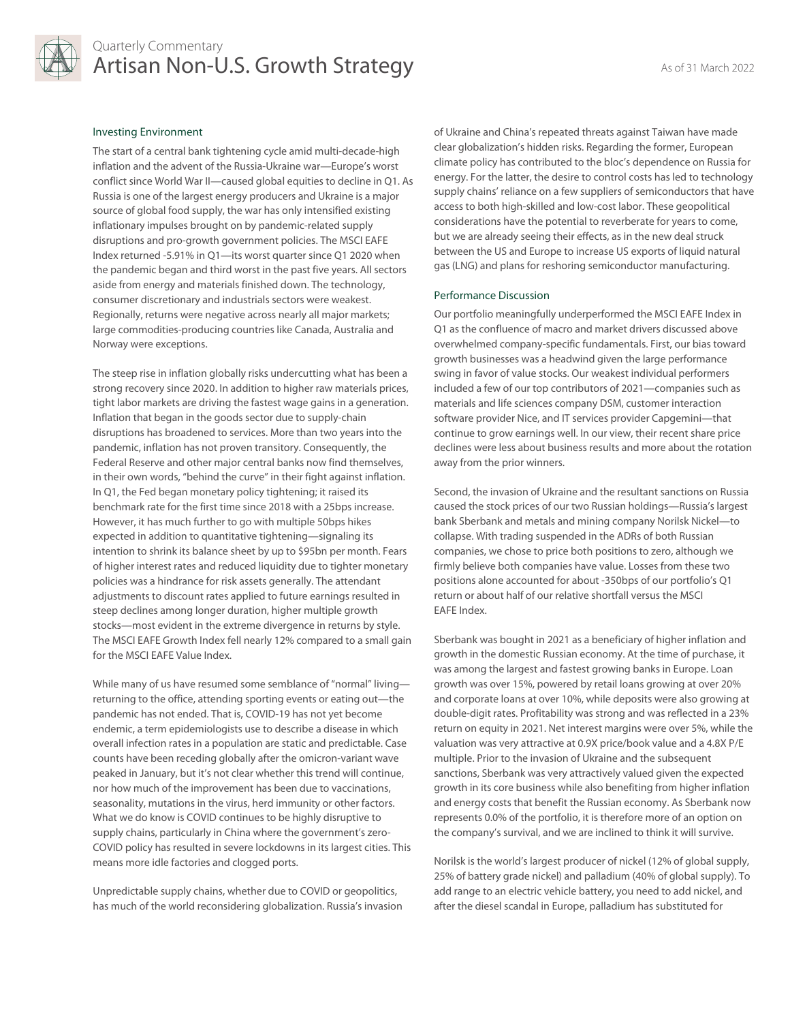

# Quarterly Commentary Artisan Non-U.S. Growth Strategy As of 31 March 2022

### Investing Environment

The start of a central bank tightening cycle amid multi-decade-high inflation and the advent of the Russia-Ukraine war—Europe's worst conflict since World War II—caused global equities to decline in Q1. As Russia is one of the largest energy producers and Ukraine is a major source of global food supply, the war has only intensified existing inflationary impulses brought on by pandemic-related supply disruptions and pro-growth government policies. The MSCI EAFE Index returned -5.91% in Q1—its worst quarter since Q1 2020 when the pandemic began and third worst in the past five years. All sectors aside from energy and materials finished down. The technology, consumer discretionary and industrials sectors were weakest. Regionally, returns were negative across nearly all major markets; large commodities-producing countries like Canada, Australia and Norway were exceptions.

The steep rise in inflation globally risks undercutting what has been a strong recovery since 2020. In addition to higher raw materials prices, tight labor markets are driving the fastest wage gains in a generation. Inflation that began in the goods sector due to supply-chain disruptions has broadened to services. More than two years into the pandemic, inflation has not proven transitory. Consequently, the Federal Reserve and other major central banks now find themselves, in their own words, "behind the curve" in their fight against inflation. In Q1, the Fed began monetary policy tightening; it raised its benchmark rate for the first time since 2018 with a 25bps increase. However, it has much further to go with multiple 50bps hikes expected in addition to quantitative tightening—signaling its intention to shrink its balance sheet by up to \$95bn per month. Fears of higher interest rates and reduced liquidity due to tighter monetary policies was a hindrance for risk assets generally. The attendant adjustments to discount rates applied to future earnings resulted in steep declines among longer duration, higher multiple growth stocks—most evident in the extreme divergence in returns by style. The MSCI EAFE Growth Index fell nearly 12% compared to a small gain for the MSCI EAFE Value Index.

While many of us have resumed some semblance of "normal" living returning to the office, attending sporting events or eating out—the pandemic has not ended. That is, COVID-19 has not yet become endemic, a term epidemiologists use to describe a disease in which overall infection rates in a population are static and predictable. Case counts have been receding globally after the omicron-variant wave peaked in January, but it's not clear whether this trend will continue, nor how much of the improvement has been due to vaccinations, seasonality, mutations in the virus, herd immunity or other factors. What we do know is COVID continues to be highly disruptive to supply chains, particularly in China where the government's zero-COVID policy has resulted in severe lockdowns in its largest cities. This means more idle factories and clogged ports.

Unpredictable supply chains, whether due to COVID or geopolitics, has much of the world reconsidering globalization. Russia's invasion of Ukraine and China's repeated threats against Taiwan have made clear globalization's hidden risks. Regarding the former, European climate policy has contributed to the bloc's dependence on Russia for energy. For the latter, the desire to control costs has led to technology supply chains' reliance on a few suppliers of semiconductors that have access to both high-skilled and low-cost labor. These geopolitical considerations have the potential to reverberate for years to come, but we are already seeing their effects, as in the new deal struck between the US and Europe to increase US exports of liquid natural gas (LNG) and plans for reshoring semiconductor manufacturing.

# Performance Discussion

Our portfolio meaningfully underperformed the MSCI EAFE Index in Q1 as the confluence of macro and market drivers discussed above overwhelmed company-specific fundamentals. First, our bias toward growth businesses was a headwind given the large performance swing in favor of value stocks. Our weakest individual performers included a few of our top contributors of 2021—companies such as materials and life sciences company DSM, customer interaction software provider Nice, and IT services provider Capgemini—that continue to grow earnings well. In our view, their recent share price declines were less about business results and more about the rotation away from the prior winners.

Second, the invasion of Ukraine and the resultant sanctions on Russia caused the stock prices of our two Russian holdings—Russia's largest bank Sberbank and metals and mining company Norilsk Nickel—to collapse. With trading suspended in the ADRs of both Russian companies, we chose to price both positions to zero, although we firmly believe both companies have value. Losses from these two positions alone accounted for about -350bps of our portfolio's Q1 return or about half of our relative shortfall versus the MSCI EAFE Index.

Sberbank was bought in 2021 as a beneficiary of higher inflation and growth in the domestic Russian economy. At the time of purchase, it was among the largest and fastest growing banks in Europe. Loan growth was over 15%, powered by retail loans growing at over 20% and corporate loans at over 10%, while deposits were also growing at double-digit rates. Profitability was strong and was reflected in a 23% return on equity in 2021. Net interest margins were over 5%, while the valuation was very attractive at 0.9X price/book value and a 4.8X P/E multiple. Prior to the invasion of Ukraine and the subsequent sanctions, Sberbank was very attractively valued given the expected growth in its core business while also benefiting from higher inflation and energy costs that benefit the Russian economy. As Sberbank now represents 0.0% of the portfolio, it is therefore more of an option on the company's survival, and we are inclined to think it will survive.

Norilsk is the world's largest producer of nickel (12% of global supply, 25% of battery grade nickel) and palladium (40% of global supply). To add range to an electric vehicle battery, you need to add nickel, and after the diesel scandal in Europe, palladium has substituted for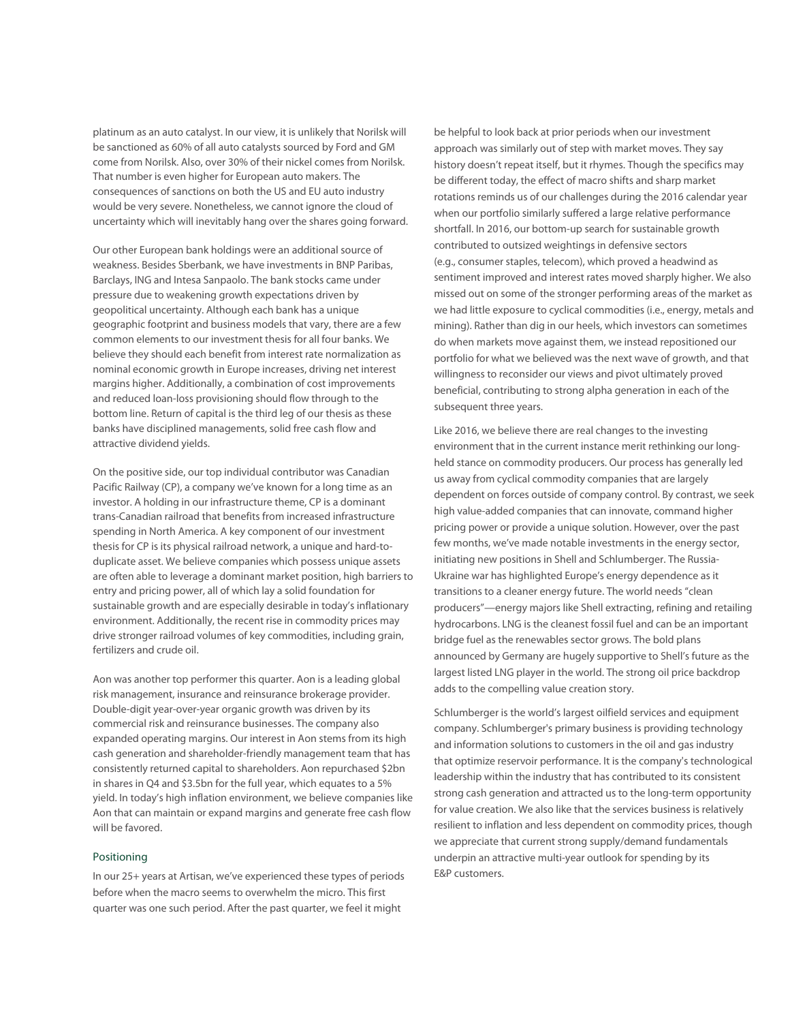platinum as an auto catalyst. In our view, it is unlikely that Norilsk will be sanctioned as 60% of all auto catalysts sourced by Ford and GM come from Norilsk. Also, over 30% of their nickel comes from Norilsk. That number is even higher for European auto makers. The consequences of sanctions on both the US and EU auto industry would be very severe. Nonetheless, we cannot ignore the cloud of uncertainty which will inevitably hang over the shares going forward.

Our other European bank holdings were an additional source of weakness. Besides Sberbank, we have investments in BNP Paribas, Barclays, ING and Intesa Sanpaolo. The bank stocks came under pressure due to weakening growth expectations driven by geopolitical uncertainty. Although each bank has a unique geographic footprint and business models that vary, there are a few common elements to our investment thesis for all four banks. We believe they should each benefit from interest rate normalization as nominal economic growth in Europe increases, driving net interest margins higher. Additionally, a combination of cost improvements and reduced loan-loss provisioning should flow through to the bottom line. Return of capital is the third leg of our thesis as these banks have disciplined managements, solid free cash flow and attractive dividend yields.

On the positive side, our top individual contributor was Canadian Pacific Railway (CP), a company we've known for a long time as an investor. A holding in our infrastructure theme, CP is a dominant trans-Canadian railroad that benefits from increased infrastructure spending in North America. A key component of our investment thesis for CP is its physical railroad network, a unique and hard-toduplicate asset. We believe companies which possess unique assets are often able to leverage a dominant market position, high barriers to entry and pricing power, all of which lay a solid foundation for sustainable growth and are especially desirable in today's inflationary environment. Additionally, the recent rise in commodity prices may drive stronger railroad volumes of key commodities, including grain, fertilizers and crude oil.

Aon was another top performer this quarter. Aon is a leading global risk management, insurance and reinsurance brokerage provider. Double-digit year-over-year organic growth was driven by its commercial risk and reinsurance businesses. The company also expanded operating margins. Our interest in Aon stems from its high cash generation and shareholder-friendly management team that has consistently returned capital to shareholders. Aon repurchased \$2bn in shares in Q4 and \$3.5bn for the full year, which equates to a 5% yield. In today's high inflation environment, we believe companies like Aon that can maintain or expand margins and generate free cash flow will be favored.

### Positioning

In our 25+ years at Artisan, we've experienced these types of periods before when the macro seems to overwhelm the micro. This first quarter was one such period. After the past quarter, we feel it might

be helpful to look back at prior periods when our investment approach was similarly out of step with market moves. They say history doesn't repeat itself, but it rhymes. Though the specifics may be different today, the effect of macro shifts and sharp market rotations reminds us of our challenges during the 2016 calendar year when our portfolio similarly suffered a large relative performance shortfall. In 2016, our bottom-up search for sustainable growth contributed to outsized weightings in defensive sectors (e.g., consumer staples, telecom), which proved a headwind as sentiment improved and interest rates moved sharply higher. We also missed out on some of the stronger performing areas of the market as we had little exposure to cyclical commodities (i.e., energy, metals and mining). Rather than dig in our heels, which investors can sometimes do when markets move against them, we instead repositioned our portfolio for what we believed was the next wave of growth, and that willingness to reconsider our views and pivot ultimately proved beneficial, contributing to strong alpha generation in each of the subsequent three years.

Like 2016, we believe there are real changes to the investing environment that in the current instance merit rethinking our longheld stance on commodity producers. Our process has generally led us away from cyclical commodity companies that are largely dependent on forces outside of company control. By contrast, we seek high value-added companies that can innovate, command higher pricing power or provide a unique solution. However, over the past few months, we've made notable investments in the energy sector, initiating new positions in Shell and Schlumberger. The Russia-Ukraine war has highlighted Europe's energy dependence as it transitions to a cleaner energy future. The world needs "clean producers"—energy majors like Shell extracting, refining and retailing hydrocarbons. LNG is the cleanest fossil fuel and can be an important bridge fuel as the renewables sector grows. The bold plans announced by Germany are hugely supportive to Shell's future as the largest listed LNG player in the world. The strong oil price backdrop adds to the compelling value creation story.

Schlumberger is the world's largest oilfield services and equipment company. Schlumberger's primary business is providing technology and information solutions to customers in the oil and gas industry that optimize reservoir performance. It is the company's technological leadership within the industry that has contributed to its consistent strong cash generation and attracted us to the long-term opportunity for value creation. We also like that the services business is relatively resilient to inflation and less dependent on commodity prices, though we appreciate that current strong supply/demand fundamentals underpin an attractive multi-year outlook for spending by its E&P customers.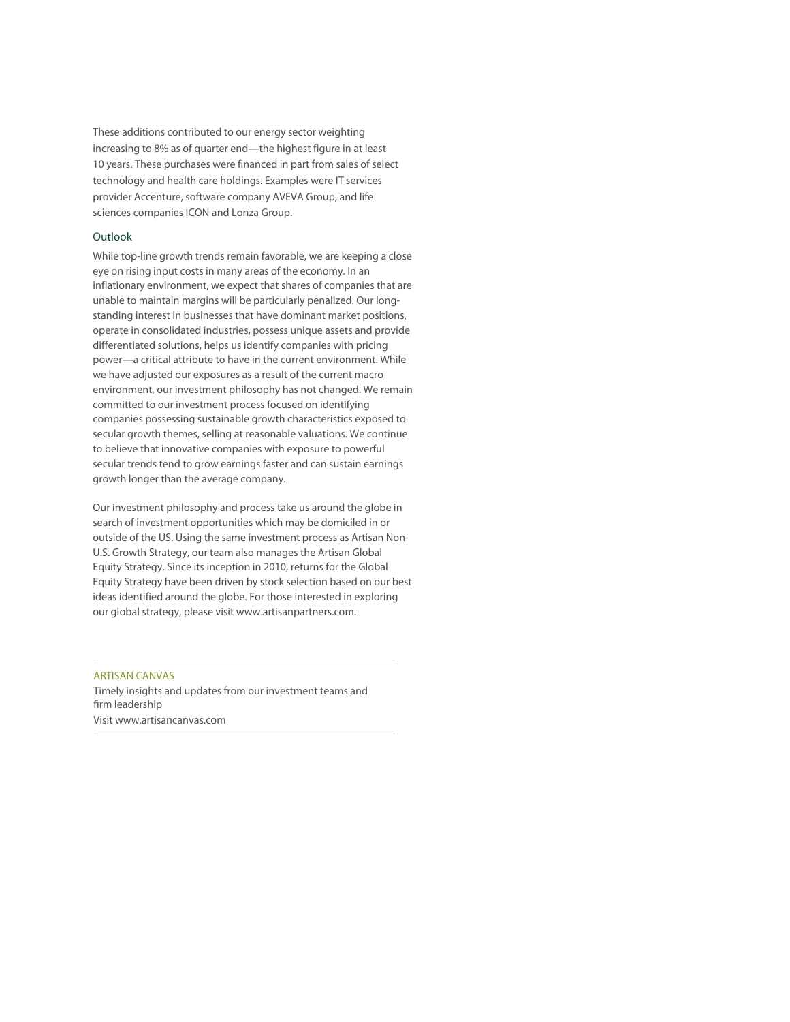These additions contributed to our energy sector weighting increasing to 8% as of quarter end—the highest figure in at least 10 years. These purchases were financed in part from sales of select technology and health care holdings. Examples were IT services provider Accenture, software company AVEVA Group, and life sciences companies ICON and Lonza Group.

## **Outlook**

While top-line growth trends remain favorable, we are keeping a close eye on rising input costs in many areas of the economy. In an inflationary environment, we expect that shares of companies that are unable to maintain margins will be particularly penalized. Our longstanding interest in businesses that have dominant market positions, operate in consolidated industries, possess unique assets and provide differentiated solutions, helps us identify companies with pricing power—a critical attribute to have in the current environment. While we have adjusted our exposures as a result of the current macro environment, our investment philosophy has not changed. We remain committed to our investment process focused on identifying companies possessing sustainable growth characteristics exposed to secular growth themes, selling at reasonable valuations. We continue to believe that innovative companies with exposure to powerful secular trends tend to grow earnings faster and can sustain earnings growth longer than the average company.

Our investment philosophy and process take us around the globe in search of investment opportunities which may be domiciled in or outside of the US. Using the same investment process as Artisan Non-U.S. Growth Strategy, our team also manages the Artisan Global Equity Strategy. Since its inception in 2010, returns for the Global Equity Strategy have been driven by stock selection based on our best ideas identified around the globe. For those interested in exploring our global strategy, please visit www.artisanpartners.com.

ARTISAN CANVAS Timely insights and updates from our investment teams and firm leadership Visit www.artisancanvas.com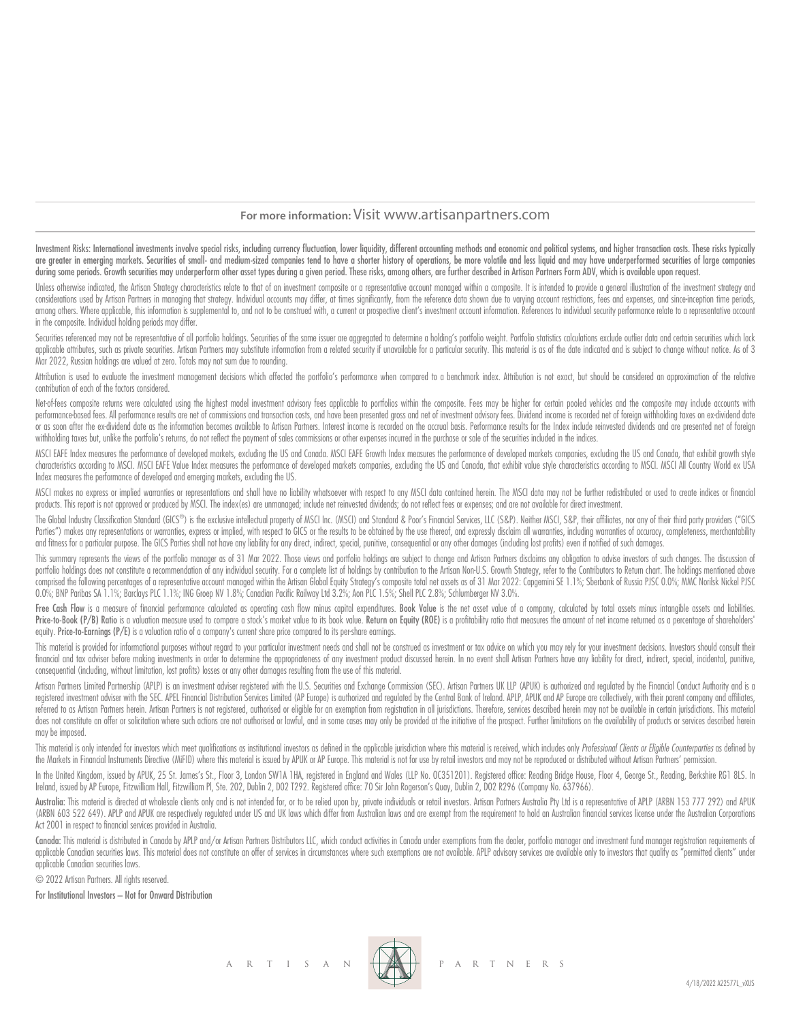# **For more information:** Visit www.artisanpartners.com

Investment Risks: International investments involve special risks, including currency fluctuation, lower liquidity, different accounting methods and economic and political systems, and higher transaction costs. These risks are greater in emerging markets. Securities of small- and medium-sized companies tend to have a shorter history of operations, be more volatile and less liquid and may have underperformed securities of large companies during some periods. Growth securities may underperform other asset types during a given period. These risks, among others, are further described in Artisan Partners Form ADV, which is available upon request.

Unless otherwise indicated, the Artisan Strateav characteristics relate to that of an investment composite or a representative account mangaed within a composite. It is intended to provide a general illustration of the inv considerations used by Artisan Partners in managing that strategy. Individual accounts may differ, at times significantly, from the reference data shown due to varying account restrictions, fees and expenses, and since inc among others. Where applicable, this information is supplemental to, and not to be construed with, a current or prospective client's investment account information. References to individual security performance relate to a in the composite. Individual holding periods may differ.

Securities referenced may not be representative of all portfolio holdinas. Securities of the same issuer are agareagted to determine a holding's portfolio weight. Portfolio statistics calculations exclude outlier data and applicable attributes, such as private securities. Artisan Partners may substitute information from a related security if unavailable for a particular security. This material is as of the date indicated and is subject to c Mar 2022, Russian holdings are valued at zero. Totals may not sum due to rounding.

Attribution is used to evaluate the investment management decisions which affected the portfolio's performance when compared to a benchmark index. Attribution is not exact, but should be considered an approximation of the contribution of each of the factors considered.

Net-of-fees composite returns were calculated using the highest model investment advisory fees applicable to portfolios within the composite. Fees may be higher for certain pooled vehicles and the composite may include acc performance-based fees. All performance results are net of commissions and transaction costs, and have been presented gross and net of investment advisory fees. Dividend income is recorded net of foreign withholding taxes or as soon after the ex-dividend date as the information becomes available to Artisan Partners. Interest income is recorded on the accrual basis. Performance results for the Index include reinvested dividends and are prese withholding taxes but, unlike the portfolio's returns, do not reflect the payment of sales commissions or other expenses incurred in the purchase or sale of the securities included in the indices.

MSCI EAFE Index measures the performance of developed markets, excludina the US and Canada. MSCI EAFE Growth Index measures the performance of developed markets companies, excludina the US and Canada, that exhibit arowth s characteristics according to MSCI. MSCI EAFE Value Index measures the performance of developed markets companies, excluding the US and Canada, that exhibit value style characteristics according to MSCI. MSCI All Country Wo Index measures the performance of developed and emerging markets, excluding the US.

MSCI makes no express or implied warranties or representations and shall have no liability whatsoever with respect to any MSCI data contained herein. The MSCI data may not be further redistributed or used to create indices products. This report is not approved or produced by MSCI. The index(es) are unmanaged; include net reinvested dividends; do not reflect fees or expenses; and are not available for direct investment.

The Global Industry Classification Standard (GICS®) is the exclusive intellectual property of MSCI Inc. (MSCI) and Standard & Poor's Financial Services, LLC (S&P). Neither MSCI, S&P, their affiliates, nor any of their thir Parties") makes any representations or warranties, express or implied, with respect to GICS or the results to be obtained by the use thereof, and expressly disclaim all warranties, including warranties of accuracy, complet and fitness for a particular purpose. The GICS Parties shall not have any liability for any direct, indirect, special, punitive, consequential or any other damages (including lost profits) even if notified of such damages.

This summary represents the views of the portfolio manager as of 31 Mar 2022. Those views and portfolio holdings are subject to change and Artisan Partners disclaims any obligation to advise investors of such changes. The portfolio holdings does not constitute a recommendation of any individual security. For a complete list of holdings by contribution to the Artisan Non-U.S. Growth Strategy, refer to the Contributors to Return chart. The ho comprised the following percentages of a representative account managed within the Artisan Global Equity Strategy's composite total net assets as of 31 Mar 2022: Capgemini SE 1.1%; Sberbank of Russia PJSC 0.0%; MMC Norilsk 0.0%; BNP Paribas SA 1.1%; Barclays PLC 1.1%; ING Groep NV 1.8%; Canadian Pacific Railway Ltd 3.2%; Aon PLC 1.5%; Shell PLC 2.8%; Schlumberger NV 3.0%.

Free Cash Flow is a measure of financial performance calculated as operating cash flow minus capital expenditures. Book Value is the net asset value of a company, calculated by total assets minus intangible assets and liab Price-to-Book (P/B) Ratio is a valuation measure used to compare a stock's market value to its book value. Return on Eauity (ROE) is a profitability ratio that measures the amount of net income returned as a percentage of equity. Price-to-Earnings (P/E) is a valuation ratio of a company's current share price compared to its per-share earnings.

This material is provided for informational purposes without regard to your particular investment needs and shall not be construed as investment or tax advice on which you may rely for your investment decisions. Investors financial and tax adviser before making investments in order to determine the appropriateness of any investment product discussed herein. In no event shall Artisan Partners have any liability for direct, indirect, special, consequential (including, without limitation, lost profits) losses or any other damages resulting from the use of this material.

Artisan Partners Limited Partnership (APLP) is an investment adviser registered with the U.S. Securities and Exchange Commission (SEC). Artisan Partners UK LLP (APUK) is authorized and regulated by the Financial Conduct Au registered investment adviser with the SEC. APEL Financial Distribution Services Limited (AP Europe) is authorized and regulated by the Central Bank of Ireland. APLP, APUK and AP Europe are collectively, with their parent referred to as Artisan Partners herein. Artisan Partners is not registered, authorised or eligible for an exemption from registration in all jurisdictions. Therefore, services described herein may not be available in certa does not constitute an offer or solicitation where such actions are not authorised or lawful, and in some cases may only be provided at the initiative of the prospect. Further limitations on the availability of products or may be imposed.

This material is only intended for investors which meet qualifications as institutional investors as defined in the applicable jurisdiction where this material is received, which includes only Professional Clients or Eligi the Markets in Financial Instruments Directive (MiFID) where this material is issued by APUK or AP Europe. This material is not for use by retail investors and may not be reproduced or distributed without Artisan Partners'

In the United Kingdom, issued by APUK, 25 St. James's St., Floor 3, London SW1A 1HA, registered in England and Wales (LLP No. OC351201). Registered office: Reading Bridge House, Floor 4, George St., Reading, Berkshire RG1 Ireland, issued by AP Europe, Fitzwilliam Hall, Fitzwilliam Pl, Ste. 202, Dublin 2, D02 T292. Registered office: 70 Sir John Rogerson's Quay, Dublin 2, D02 R296 (Company No. 637966).

Australia: This material is directed at wholesale clients only and is not intended for, or to be relied upon by, private individuals or retail investors. Artisan Partnes Australia Pty Ltd is a representative of APLP (ARBN (ARBN 603 522 649). APLP and APUK are respectively regulated under US and UK laws which differ from Australian laws and are exempt from the requirement to hold an Australian financial services license under the Australian Act 2001 in respect to financial services provided in Australia.

Canada: This material is distributed in Canada by APLP and/or Artisan Partners Distributors LLC, which conduct activities in Canada under exemptions from the dealer, portfolio manager and investment fund manager registrati applicable Canadian securities laws. This material does not constitute an offer of services in circumstances where such exemptions are not available. APLP advisory services are available only to investors that quality as " applicable Canadian securities laws.

© 2022 Artisan Partners. All rights reserved.

For Institutional Investors – Not for Onward Distribution